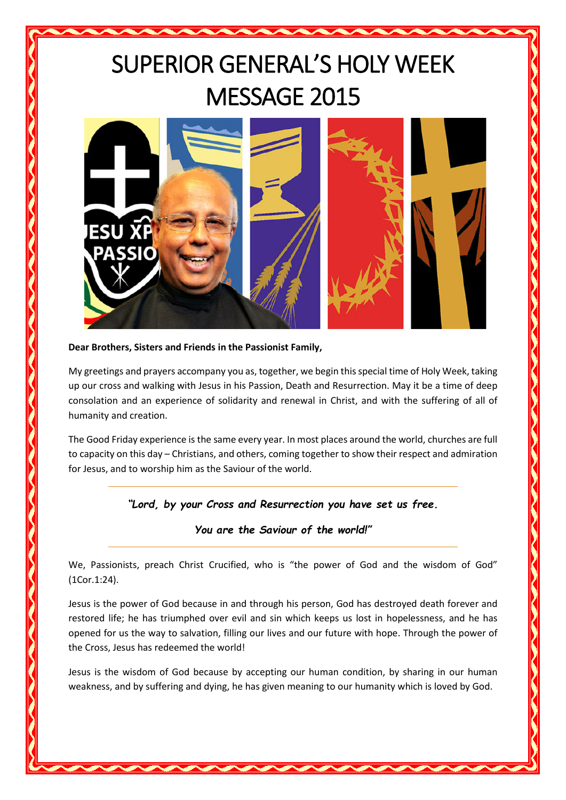## SUPERIOR GENERAL'S HOLY WEEK MESSAGE 2015



## **Dear Brothers, Sisters and Friends in the Passionist Family,**

My greetings and prayers accompany you as, together, we begin this special time of Holy Week, taking up our cross and walking with Jesus in his Passion, Death and Resurrection. May it be a time of deep consolation and an experience of solidarity and renewal in Christ, and with the suffering of all of humanity and creation.

The Good Friday experience is the same every year. In most places around the world, churches are full to capacity on this day – Christians, and others, coming together to show their respect and admiration for Jesus, and to worship him as the Saviour of the world.

*"Lord, by your Cross and Resurrection you have set us free.*

*You are the Saviour of the world!"*

We, Passionists, preach Christ Crucified, who is "the power of God and the wisdom of God" (1Cor.1:24).

Jesus is the power of God because in and through his person, God has destroyed death forever and restored life; he has triumphed over evil and sin which keeps us lost in hopelessness, and he has opened for us the way to salvation, filling our lives and our future with hope. Through the power of the Cross, Jesus has redeemed the world!

Jesus is the wisdom of God because by accepting our human condition, by sharing in our human weakness, and by suffering and dying, he has given meaning to our humanity which is loved by God.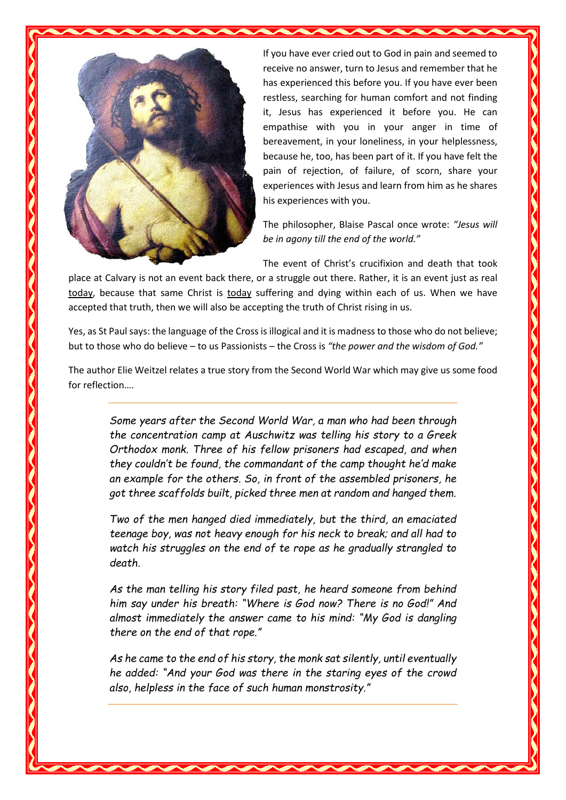

If you have ever cried out to God in pain and seemed to receive no answer, turn to Jesus and remember that he has experienced this before you. If you have ever been restless, searching for human comfort and not finding it, Jesus has experienced it before you. He can empathise with you in your anger in time of bereavement, in your loneliness, in your helplessness, because he, too, has been part of it. If you have felt the pain of rejection, of failure, of scorn, share your experiences with Jesus and learn from him as he shares his experiences with you.

The philosopher, Blaise Pascal once wrote: *"Jesus will be in agony till the end of the world."*

The event of Christ's crucifixion and death that took

place at Calvary is not an event back there, or a struggle out there. Rather, it is an event just as real today, because that same Christ is today suffering and dying within each of us. When we have accepted that truth, then we will also be accepting the truth of Christ rising in us.

Yes, as St Paul says: the language of the Cross is illogical and it is madness to those who do not believe; but to those who do believe – to us Passionists – the Cross is *"the power and the wisdom of God."*

The author Elie Weitzel relates a true story from the Second World War which may give us some food for reflection….

*Some years after the Second World War, a man who had been through the concentration camp at Auschwitz was telling his story to a Greek Orthodox monk. Three of his fellow prisoners had escaped, and when they couldn't be found, the commandant of the camp thought he'd make an example for the others. So, in front of the assembled prisoners, he got three scaffolds built, picked three men at random and hanged them.*

*Two of the men hanged died immediately, but the third, an emaciated teenage boy, was not heavy enough for his neck to break; and all had to watch his struggles on the end of te rope as he gradually strangled to death.*

*As the man telling his story filed past, he heard someone from behind him say under his breath: "Where is God now? There is no God!" And almost immediately the answer came to his mind: "My God is dangling there on the end of that rope."*

*As he came to the end of his story, the monk sat silently, until eventually he added: "And your God was there in the staring eyes of the crowd also, helpless in the face of such human monstrosity."*